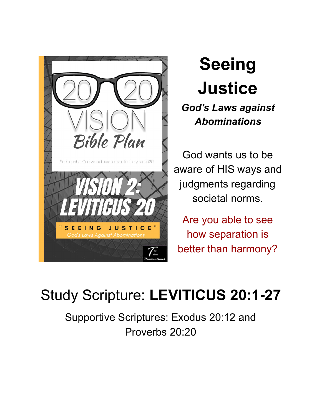

## **Seeing Justice**

## *God's Laws against Abominations*

God wants us to be aware of HIS ways and judgments regarding societal norms.

Are you able to see how separation is better than harmony?

## Study Scripture: **LEVITICUS 20:1-27**

Supportive Scriptures: Exodus 20:12 and Proverbs 20:20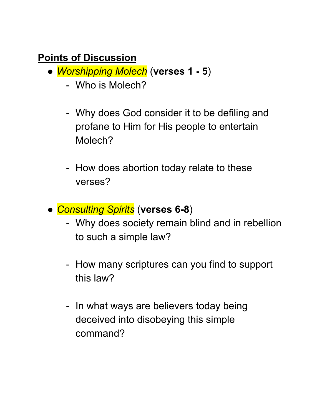## **Points of Discussion**

- *Worshipping Molech* (**verses 1 - 5**)
	- Who is Molech?
	- Why does God consider it to be defiling and profane to Him for His people to entertain Molech?
	- How does abortion today relate to these verses?
- *Consulting Spirits* (**verses 6-8**)
	- Why does society remain blind and in rebellion to such a simple law?
	- How many scriptures can you find to support this law?
	- In what ways are believers today being deceived into disobeying this simple command?